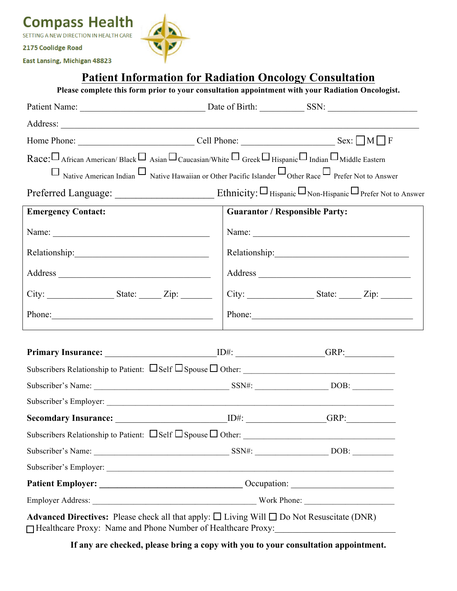

2175 Coolidge Road

East Lansing, Michigan 48823

# **Patient Information for Radiation Oncology Consultation**

**Please complete this form prior to your consultation appointment with your Radiation Oncologist.**

| $\text{Race:}\Box_{\text{African American/Black}}\Box_{\text{Asian}}\Box_{\text{Caucasian/White}}\Box_{\text{Greek}}\Box_{\text{Hispanic}}\Box_{\text{Indian}}\Box_{\text{Midlle Eastern}}$ | $\Box$ Native American Indian $\Box$ Native Hawaiian or Other Pacific Islander $\Box$ Other Race $\Box$ Prefer Not to Answer |  |
|---------------------------------------------------------------------------------------------------------------------------------------------------------------------------------------------|------------------------------------------------------------------------------------------------------------------------------|--|
|                                                                                                                                                                                             |                                                                                                                              |  |
| <b>Emergency Contact:</b>                                                                                                                                                                   | <b>Guarantor / Responsible Party:</b>                                                                                        |  |
| Name:                                                                                                                                                                                       | Name:                                                                                                                        |  |
|                                                                                                                                                                                             |                                                                                                                              |  |
|                                                                                                                                                                                             |                                                                                                                              |  |
|                                                                                                                                                                                             |                                                                                                                              |  |
| Phone:                                                                                                                                                                                      | Phone:                                                                                                                       |  |
|                                                                                                                                                                                             |                                                                                                                              |  |
|                                                                                                                                                                                             |                                                                                                                              |  |
|                                                                                                                                                                                             |                                                                                                                              |  |
|                                                                                                                                                                                             |                                                                                                                              |  |
|                                                                                                                                                                                             |                                                                                                                              |  |
|                                                                                                                                                                                             |                                                                                                                              |  |
|                                                                                                                                                                                             |                                                                                                                              |  |
|                                                                                                                                                                                             |                                                                                                                              |  |
|                                                                                                                                                                                             |                                                                                                                              |  |
|                                                                                                                                                                                             |                                                                                                                              |  |
| Advanced Directives: Please check all that apply: $\Box$ Living Will $\Box$ Do Not Resuscitate (DNR)                                                                                        |                                                                                                                              |  |

□ Healthcare Proxy: Name and Phone Number of Healthcare Proxy:

**If any are checked, please bring a copy with you to your consultation appointment.**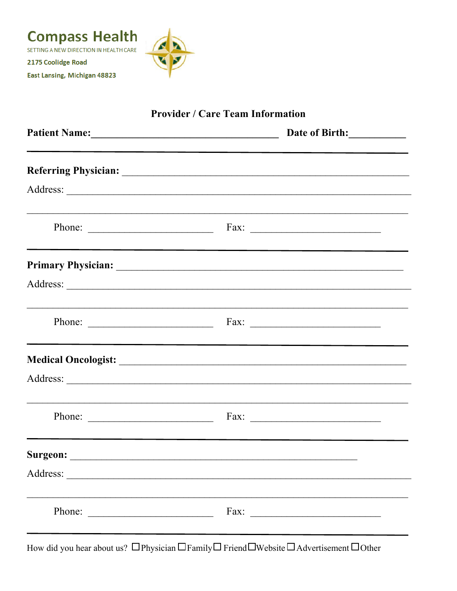

## **Provider / Care Team Information**

| Patient Name: 1988                                                                                                                                                                                                                             | Date of Birth:                                                                                                  |
|------------------------------------------------------------------------------------------------------------------------------------------------------------------------------------------------------------------------------------------------|-----------------------------------------------------------------------------------------------------------------|
|                                                                                                                                                                                                                                                |                                                                                                                 |
|                                                                                                                                                                                                                                                |                                                                                                                 |
|                                                                                                                                                                                                                                                | <u> 1989 - Johann Stoff, amerikansk politiker (d. 1989)</u>                                                     |
|                                                                                                                                                                                                                                                | Primary Physician: 1988 and 2008 and 2008 and 2008 and 2008 and 2008 and 2008 and 2008 and 2008 and 2008 and 20 |
|                                                                                                                                                                                                                                                |                                                                                                                 |
|                                                                                                                                                                                                                                                | Phone: $\overline{\phantom{a}}$ Fax: $\overline{\phantom{a}}$                                                   |
|                                                                                                                                                                                                                                                |                                                                                                                 |
|                                                                                                                                                                                                                                                |                                                                                                                 |
|                                                                                                                                                                                                                                                | Fax: $\qquad \qquad$                                                                                            |
| Surgeon:                                                                                                                                                                                                                                       |                                                                                                                 |
|                                                                                                                                                                                                                                                |                                                                                                                 |
| Phone:<br><u> 1989 - Johann Harry Harry Harry Harry Harry Harry Harry Harry Harry Harry Harry Harry Harry Harry Harry Harry Harry Harry Harry Harry Harry Harry Harry Harry Harry Harry Harry Harry Harry Harry Harry Harry Harry Harry Ha</u> |                                                                                                                 |
|                                                                                                                                                                                                                                                |                                                                                                                 |

How did you hear about us?  $\Box$  Physician  $\Box$  Family  $\Box$  Friend  $\Box$  Website  $\Box$  Advertisement  $\Box$  Other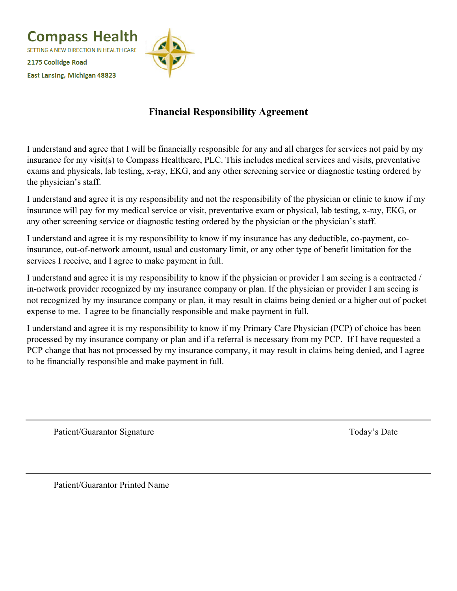

### **Financial Responsibility Agreement**

I understand and agree that I will be financially responsible for any and all charges for services not paid by my insurance for my visit(s) to Compass Healthcare, PLC. This includes medical services and visits, preventative exams and physicals, lab testing, x-ray, EKG, and any other screening service or diagnostic testing ordered by the physician's staff.

I understand and agree it is my responsibility and not the responsibility of the physician or clinic to know if my insurance will pay for my medical service or visit, preventative exam or physical, lab testing, x-ray, EKG, or any other screening service or diagnostic testing ordered by the physician or the physician's staff.

I understand and agree it is my responsibility to know if my insurance has any deductible, co-payment, coinsurance, out-of-network amount, usual and customary limit, or any other type of benefit limitation for the services I receive, and I agree to make payment in full.

I understand and agree it is my responsibility to know if the physician or provider I am seeing is a contracted / in-network provider recognized by my insurance company or plan. If the physician or provider I am seeing is not recognized by my insurance company or plan, it may result in claims being denied or a higher out of pocket expense to me. I agree to be financially responsible and make payment in full.

I understand and agree it is my responsibility to know if my Primary Care Physician (PCP) of choice has been processed by my insurance company or plan and if a referral is necessary from my PCP. If I have requested a PCP change that has not processed by my insurance company, it may result in claims being denied, and I agree to be financially responsible and make payment in full.

Patient/Guarantor Signature Today's Date

Patient/Guarantor Printed Name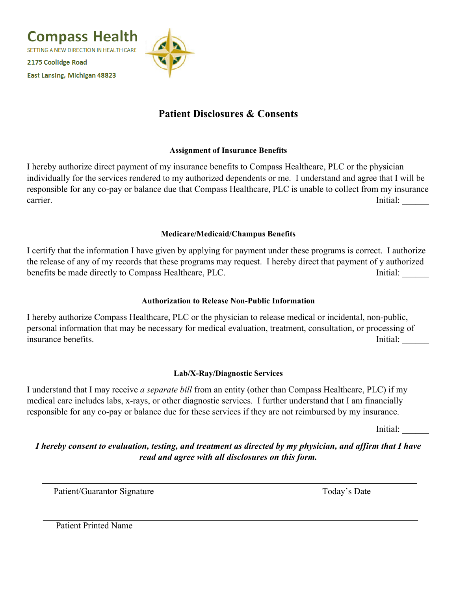

## **Patient Disclosures & Consents**

#### **Assignment of Insurance Benefits**

I hereby authorize direct payment of my insurance benefits to Compass Healthcare, PLC or the physician individually for the services rendered to my authorized dependents or me. I understand and agree that I will be responsible for any co-pay or balance due that Compass Healthcare, PLC is unable to collect from my insurance carrier. Initial:

#### **Medicare/Medicaid/Champus Benefits**

I certify that the information I have given by applying for payment under these programs is correct. I authorize the release of any of my records that these programs may request. I hereby direct that payment of y authorized benefits be made directly to Compass Healthcare, PLC. Initial:

#### **Authorization to Release Non-Public Information**

I hereby authorize Compass Healthcare, PLC or the physician to release medical or incidental, non-public, personal information that may be necessary for medical evaluation, treatment, consultation, or processing of insurance benefits. Initial:

#### **Lab/X-Ray/Diagnostic Services**

I understand that I may receive *a separate bill* from an entity (other than Compass Healthcare, PLC) if my medical care includes labs, x-rays, or other diagnostic services. I further understand that I am financially responsible for any co-pay or balance due for these services if they are not reimbursed by my insurance.

Initial:

*I hereby consent to evaluation, testing, and treatment as directed by my physician, and affirm that I have read and agree with all disclosures on this form.*

Patient/Guarantor Signature Today's Date

Patient Printed Name